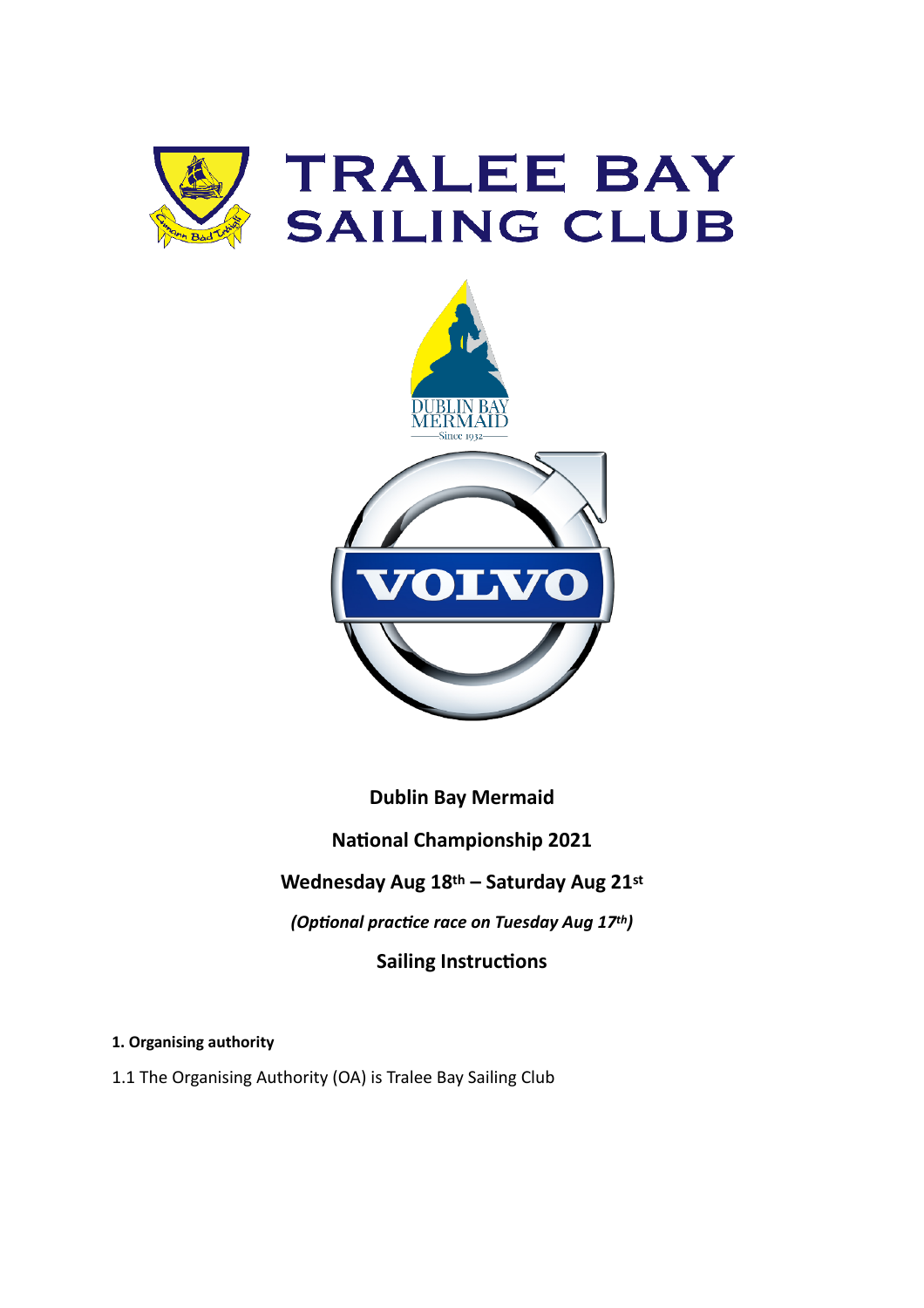



**Dublin Bay Mermaid**

**National Championship 2021**

# **Wednesday Aug 18th – Saturday Aug 21st**

*(Optional practice race on Tuesday Aug 17th)*

## **Sailing Instructions**

**1. Organising authority**

1.1 The Organising Authority (OA) is Tralee Bay Sailing Club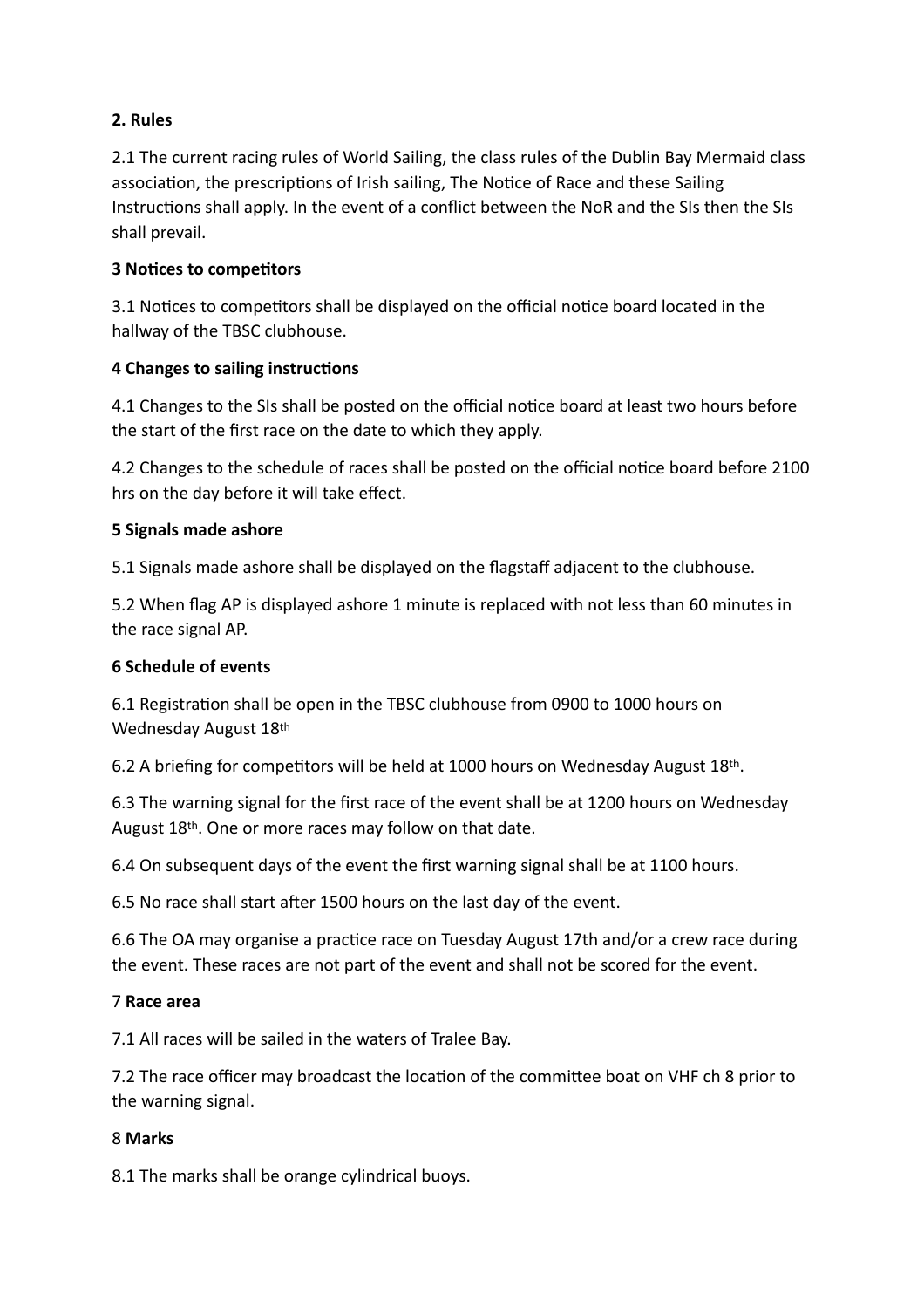#### **2. Rules**

2.1 The current racing rules of World Sailing, the class rules of the Dublin Bay Mermaid class association, the prescriptions of Irish sailing, The Notice of Race and these Sailing Instructions shall apply. In the event of a conflict between the NoR and the SIs then the SIs shall prevail.

#### **3 Notices to competitors**

3.1 Notices to competitors shall be displayed on the official notice board located in the hallway of the TBSC clubhouse.

#### **4 Changes to sailing instructions**

4.1 Changes to the SIs shall be posted on the official notice board at least two hours before the start of the first race on the date to which they apply.

4.2 Changes to the schedule of races shall be posted on the official notice board before 2100 hrs on the day before it will take effect.

#### **5 Signals made ashore**

5.1 Signals made ashore shall be displayed on the flagstaff adjacent to the clubhouse.

5.2 When flag AP is displayed ashore 1 minute is replaced with not less than 60 minutes in the race signal AP.

#### **6 Schedule of events**

6.1 Registration shall be open in the TBSC clubhouse from 0900 to 1000 hours on Wednesday August 18th

6.2 A briefing for competitors will be held at 1000 hours on Wednesday August 18th.

6.3 The warning signal for the first race of the event shall be at 1200 hours on Wednesday August 18th. One or more races may follow on that date.

6.4 On subsequent days of the event the first warning signal shall be at 1100 hours.

6.5 No race shall start after 1500 hours on the last day of the event.

6.6 The OA may organise a practice race on Tuesday August 17th and/or a crew race during the event. These races are not part of the event and shall not be scored for the event.

#### 7 **Race area**

7.1 All races will be sailed in the waters of Tralee Bay.

7.2 The race officer may broadcast the location of the committee boat on VHF ch 8 prior to the warning signal.

#### 8 **Marks**

8.1 The marks shall be orange cylindrical buoys.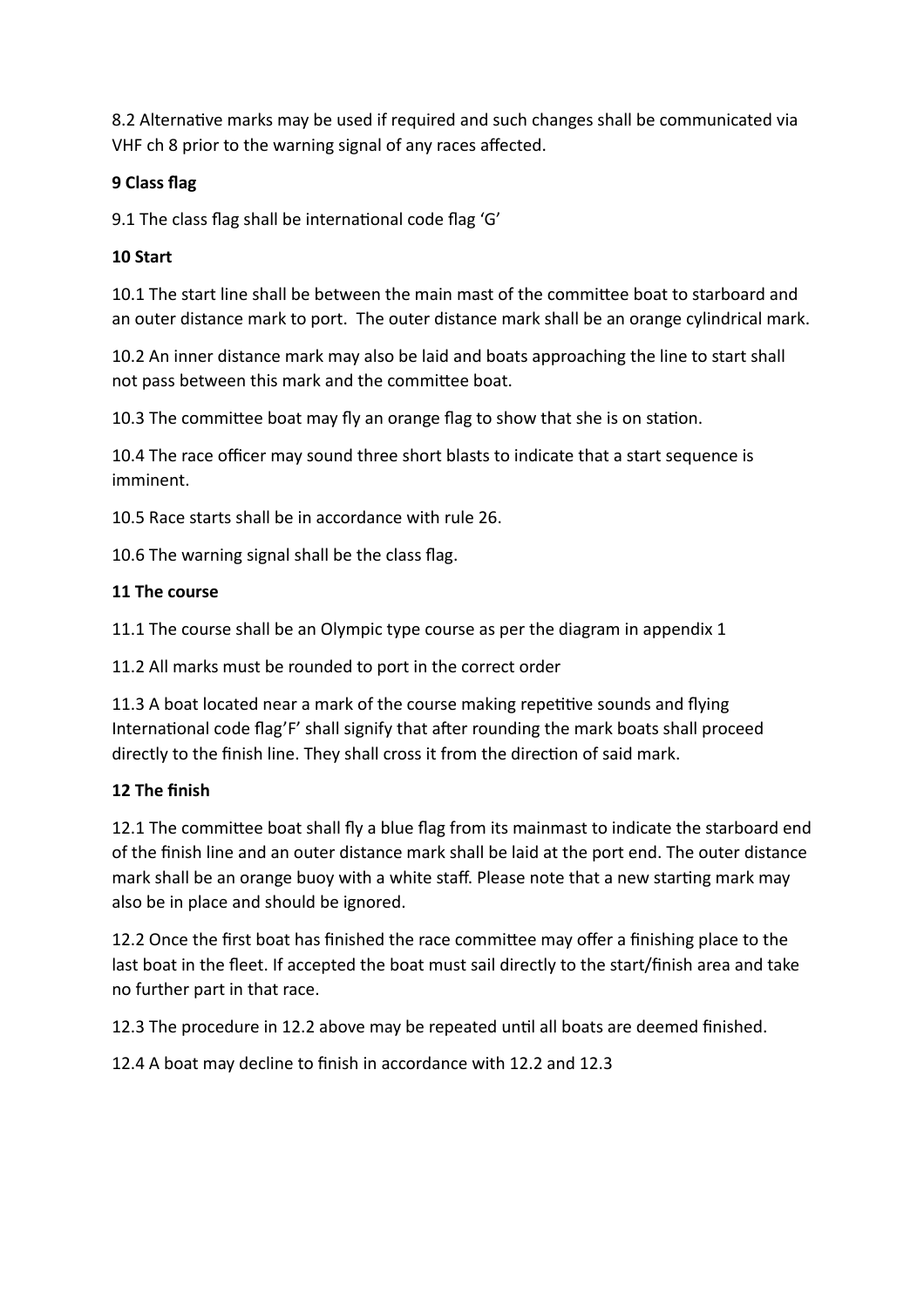8.2 Alternative marks may be used if required and such changes shall be communicated via VHF ch 8 prior to the warning signal of any races affected.

#### **9 Class flag**

9.1 The class flag shall be international code flag 'G'

#### **10 Start**

10.1 The start line shall be between the main mast of the committee boat to starboard and an outer distance mark to port. The outer distance mark shall be an orange cylindrical mark.

10.2 An inner distance mark may also be laid and boats approaching the line to start shall not pass between this mark and the committee boat.

10.3 The committee boat may fly an orange flag to show that she is on station.

10.4 The race officer may sound three short blasts to indicate that a start sequence is imminent.

10.5 Race starts shall be in accordance with rule 26.

10.6 The warning signal shall be the class flag.

#### **11 The course**

11.1 The course shall be an Olympic type course as per the diagram in appendix 1

11.2 All marks must be rounded to port in the correct order

11.3 A boat located near a mark of the course making repetitive sounds and flying International code flag'F' shall signify that after rounding the mark boats shall proceed directly to the finish line. They shall cross it from the direction of said mark.

## **12 The finish**

12.1 The committee boat shall fly a blue flag from its mainmast to indicate the starboard end of the finish line and an outer distance mark shall be laid at the port end. The outer distance mark shall be an orange buoy with a white staff. Please note that a new starting mark may also be in place and should be ignored.

12.2 Once the first boat has finished the race committee may offer a finishing place to the last boat in the fleet. If accepted the boat must sail directly to the start/finish area and take no further part in that race.

12.3 The procedure in 12.2 above may be repeated until all boats are deemed finished.

12.4 A boat may decline to finish in accordance with 12.2 and 12.3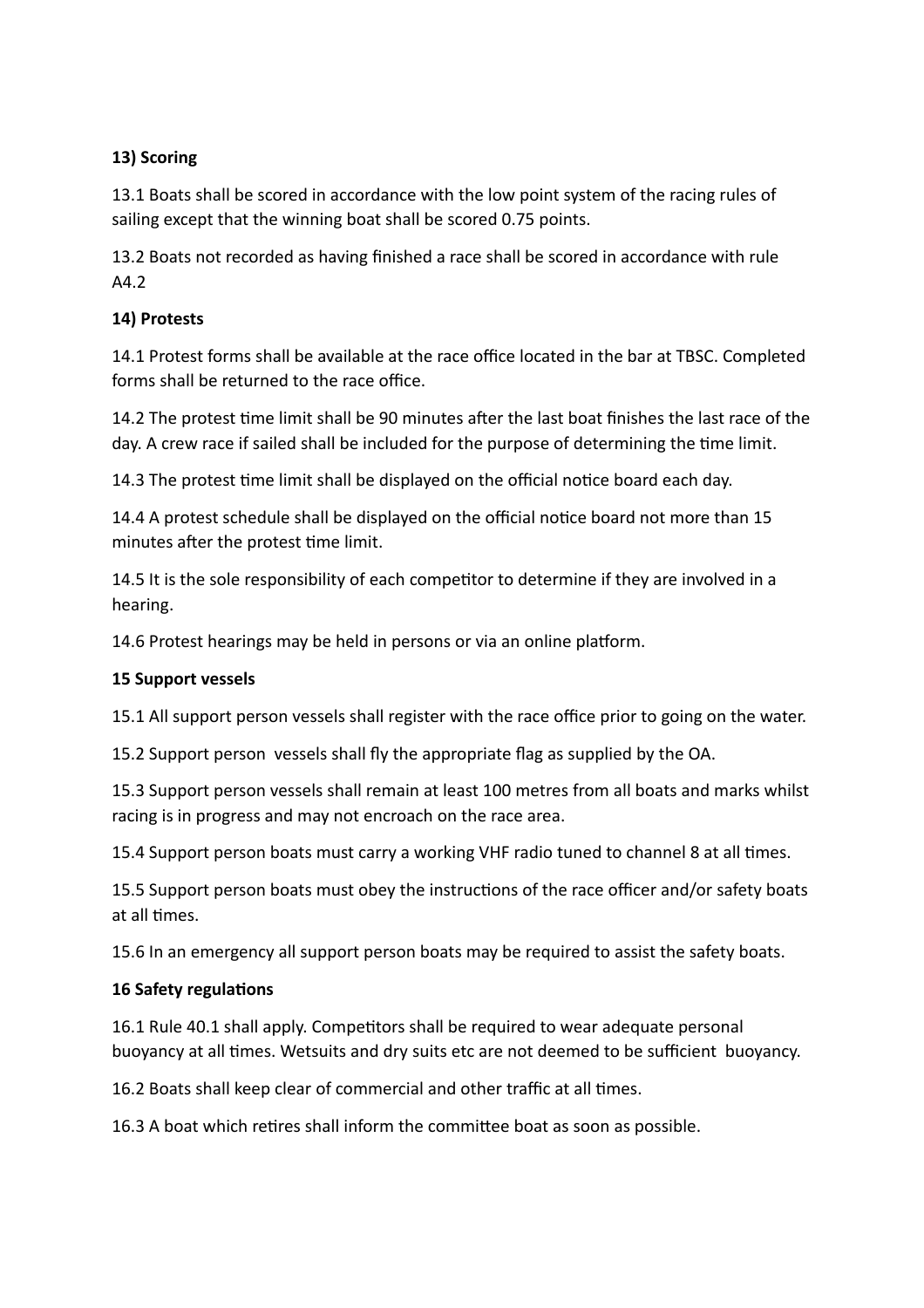#### **13) Scoring**

13.1 Boats shall be scored in accordance with the low point system of the racing rules of sailing except that the winning boat shall be scored 0.75 points.

13.2 Boats not recorded as having finished a race shall be scored in accordance with rule A4.2

#### **14) Protests**

14.1 Protest forms shall be available at the race office located in the bar at TBSC. Completed forms shall be returned to the race office.

14.2 The protest time limit shall be 90 minutes after the last boat finishes the last race of the day. A crew race if sailed shall be included for the purpose of determining the time limit.

14.3 The protest time limit shall be displayed on the official notice board each day.

14.4 A protest schedule shall be displayed on the official notice board not more than 15 minutes after the protest time limit.

14.5 It is the sole responsibility of each competitor to determine if they are involved in a hearing.

14.6 Protest hearings may be held in persons or via an online platform.

## **15 Support vessels**

15.1 All support person vessels shall register with the race office prior to going on the water.

15.2 Support person vessels shall fly the appropriate flag as supplied by the OA.

15.3 Support person vessels shall remain at least 100 metres from all boats and marks whilst racing is in progress and may not encroach on the race area.

15.4 Support person boats must carry a working VHF radio tuned to channel 8 at all times.

15.5 Support person boats must obey the instructions of the race officer and/or safety boats at all times.

15.6 In an emergency all support person boats may be required to assist the safety boats.

## **16 Safety regulations**

16.1 Rule 40.1 shall apply. Competitors shall be required to wear adequate personal buoyancy at all times. Wetsuits and dry suits etc are not deemed to be sufficient buoyancy.

16.2 Boats shall keep clear of commercial and other traffic at all times.

16.3 A boat which retires shall inform the committee boat as soon as possible.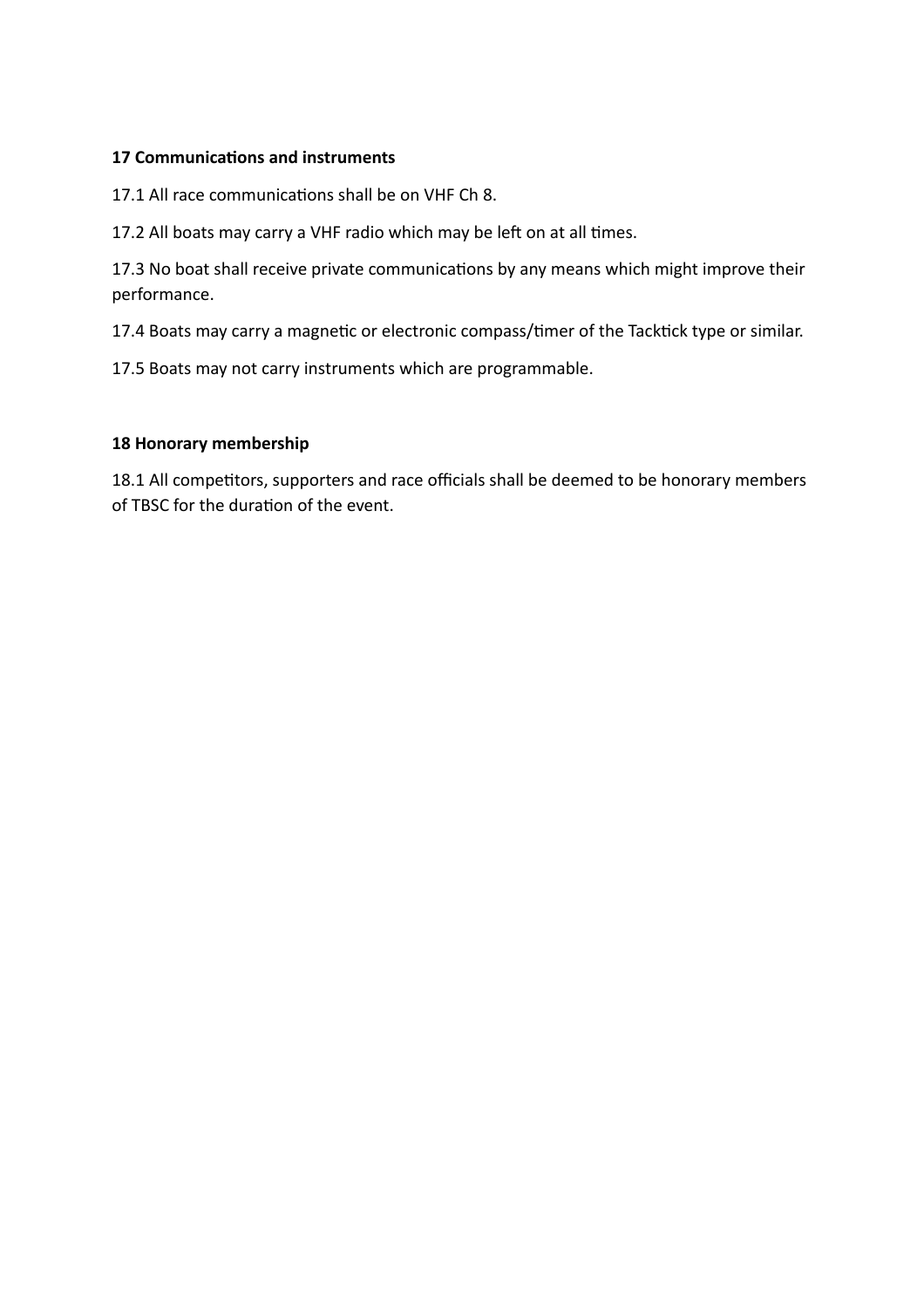#### **17 Communications and instruments**

17.1 All race communications shall be on VHF Ch 8.

17.2 All boats may carry a VHF radio which may be left on at all times.

17.3 No boat shall receive private communications by any means which might improve their performance.

17.4 Boats may carry a magnetic or electronic compass/timer of the Tacktick type or similar.

17.5 Boats may not carry instruments which are programmable.

#### **18 Honorary membership**

18.1 All competitors, supporters and race officials shall be deemed to be honorary members of TBSC for the duration of the event.